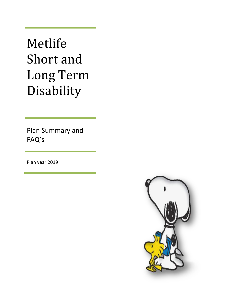Metlife Short and Long Term Disability

Plan Summary and FAQ's

Plan year 2019

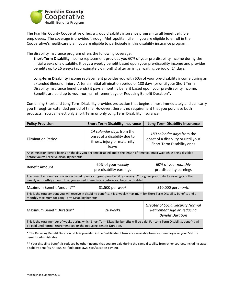

The Franklin County Cooperative offers a group disability insurance program to all benefit eligible employees. The coverage is provided through Metropolitan Life. If you are eligible to enroll in the Cooperative's healthcare plan, you are eligible to participate in this disability insurance program.

The disability insurance program offers the following coverage:

**Short-Term Disability** income replacement provides you 60% of your pre-disability income during the initial weeks of a disability. It pays a weekly benefit based upon your pre-disability income and provides benefits up to 26 weeks (approximately 6 months) after an initial waiting period of 14 days.

**Long-term Disability** income replacement provides you with 60% of your pre-disability income during an extended illness or injury. After an initial elimination period of 180 days (or until your Short Term Disability Insurance benefit ends) it pays a monthly benefit based upon your pre-disability income. Benefits are paid up to your normal retirement age or Reducing Benefit Duration\*.

Combining Short and Long Term Disability provides protection that begins almost immediately and can carry you through an extended period of time. However, there is no requirement that you purchase both products. You can elect only Short Term or only Long Term Disability Insurance.

| <b>Policy Provision</b>                                                                                                                                                                                         | <b>Short Term Disability Insurance</b>                                                             | <b>Long Term Disability Insurance</b>                                                             |
|-----------------------------------------------------------------------------------------------------------------------------------------------------------------------------------------------------------------|----------------------------------------------------------------------------------------------------|---------------------------------------------------------------------------------------------------|
| <b>Elimination Period</b>                                                                                                                                                                                       | 14 calendar days from the<br>onset of a disability due to<br>illness, injury or maternity<br>leave | 180 calendar days from the<br>onset of a disability or until your<br>Short Term Disability ends   |
| An elimination period begins on the day you become disabled and is the length of time you must wait while being disabled<br>before you will receive disability benefits.                                        |                                                                                                    |                                                                                                   |
| <b>Benefit Amount</b>                                                                                                                                                                                           | 60% of your weekly<br>pre-disability earnings                                                      | 60% of your monthly<br>pre-disability earnings                                                    |
| The benefit amount you receive is based upon your gross pre-disability earnings. Your gross pre-disability earnings are the<br>weekly or monthly amount that you earned immediately before you became disabled. |                                                                                                    |                                                                                                   |
| Maximum Benefit Amount**                                                                                                                                                                                        | $$1,500$ per week                                                                                  | \$10,000 per <i>month</i>                                                                         |
| This is the total amount you will receive in disability benefits. It is a weekly maximum for Short Term Disability benefits and a<br>monthly maximum for Long Term Disability benefits.                         |                                                                                                    |                                                                                                   |
| Maximum Benefit Duration*                                                                                                                                                                                       | 26 weeks                                                                                           | <b>Greater of Social Security Normal</b><br>Retirement Age or Reducing<br><b>Benefit Duration</b> |
| This is the total number of weeks during which Short Term Disability benefits will be paid. For Long Term Disability, benefits will<br>be paid until normal retirement age or the Reducing Benefit Duration.    |                                                                                                    |                                                                                                   |

\* The Reducing Benefit Duration table is provided in the Certificate of Insurance available from your employer or your MetLife benefits administrator.

\*\* Your disability benefit is reduced by other income that you are paid during the same disability from other sources, including state disability benefits, OPERS, no-fault auto laws, sick/vacation pay, etc.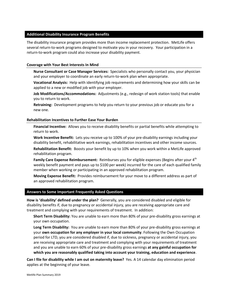## **Additional Disability Insurance Program Benefits**

The disability insurance program provides more than income replacement protection. MetLife offers several return-to-work programs designed to motivate you in your recovery. Your participation in a return-to-work program could also increase your disability payment.

## **Coverage with Your Best Interests In Mind**

**Nurse Consultant or Case Manager Services:** Specialists who personally contact you, your physician and your employer to coordinate an early return-to-work plan when appropriate.

**Vocational Analysis:** Help with identifying job requirements and determining how your skills can be applied to a new or modified job with your employer.

**Job Modifications/Accommodations:** Adjustments (e.g., redesign of work station tools) that enable you to return to work.

**Retraining:** Development programs to help you return to your previous job or educate you for a new one.

## **Rehabilitation Incentives to Further Ease Your Burden**

**Financial Incentive:** Allows you to receive disability benefits or partial benefits while attempting to return to work.

**Work Incentive Benefit:** Lets you receive up to 100% of your pre-disability earnings including your disability benefit, rehabilitative work earnings, rehabilitation incentives and other income sources.

**Rehabilitation Benefit:** Boosts your benefit by up to 10% when you work within a MetLife approved rehabilitation program.

Family Care Expense Reimbursement: Reimburses you for eligible expenses (Begins after your 4<sup>th</sup> weekly benefit payment and pays up to \$100 per week) incurred for the care of each qualified family member when working or participating in an approved rehabilitation program.

**Moving Expense Benefit:** Provides reimbursement for your move to a different address as part of an approved rehabilitation program.

## **Answers to Some Important Frequently Asked Questions**

**How is 'disability' defined under the plan?** Generally, you are considered disabled and eligible for disability benefits if, due to pregnancy or accidental injury, you are receiving appropriate care and treatment and complying with your requirements of treatment. In addition:

**Short Term Disability:** You are unable to earn more than 80% of your pre-disability gross earnings at your own occupation.

**Long Term Disability:** You are unable to earn more than 80% of your pre-disability gross earnings at your **own occupation for any employer in your local community**. Following the Own Occupation period for LTD, you are considered disabled if, due to sickness, pregnancy or accidental injury, you are receiving appropriate care and treatment and complying with your requirements of treatment and you are unable to earn 60% of your pre-disability gross earnings **at any gainful occupation for which you are reasonably qualified taking into account your training, education and experience**.

**Can I file for disability while I am out on maternity leave?** Yes. A 14 calendar day elimination period applies at the beginning of your leave.